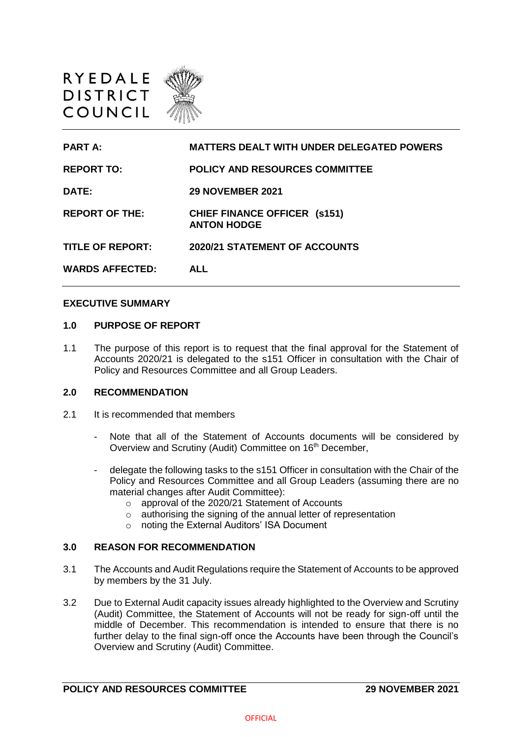

**PART A: MATTERS DEALT WITH UNDER DELEGATED POWERS REPORT TO: POLICY AND RESOURCES COMMITTEE DATE: 29 NOVEMBER 2021 REPORT OF THE: CHIEF FINANCE OFFICER (s151) ANTON HODGE TITLE OF REPORT: 2020/21 STATEMENT OF ACCOUNTS WARDS AFFECTED: ALL**

#### **EXECUTIVE SUMMARY**

#### **1.0 PURPOSE OF REPORT**

1.1 The purpose of this report is to request that the final approval for the Statement of Accounts 2020/21 is delegated to the s151 Officer in consultation with the Chair of Policy and Resources Committee and all Group Leaders.

# **2.0 RECOMMENDATION**

- 2.1 It is recommended that members
	- Note that all of the Statement of Accounts documents will be considered by Overview and Scrutiny (Audit) Committee on 16<sup>th</sup> December,
	- delegate the following tasks to the s151 Officer in consultation with the Chair of the Policy and Resources Committee and all Group Leaders (assuming there are no material changes after Audit Committee):
		- o approval of the 2020/21 Statement of Accounts
		- o authorising the signing of the annual letter of representation
		- o noting the External Auditors' ISA Document

#### **3.0 REASON FOR RECOMMENDATION**

- 3.1 The Accounts and Audit Regulations require the Statement of Accounts to be approved by members by the 31 July.
- 3.2 Due to External Audit capacity issues already highlighted to the Overview and Scrutiny (Audit) Committee, the Statement of Accounts will not be ready for sign-off until the middle of December. This recommendation is intended to ensure that there is no further delay to the final sign-off once the Accounts have been through the Council's Overview and Scrutiny (Audit) Committee.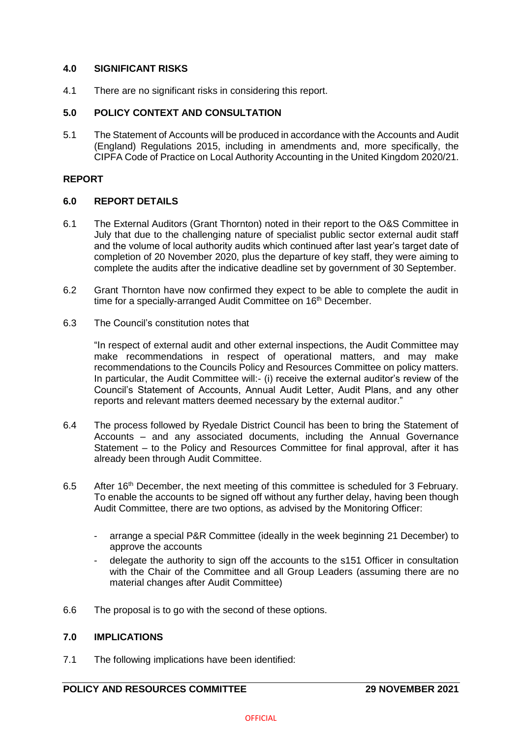# **4.0 SIGNIFICANT RISKS**

4.1 There are no significant risks in considering this report.

# **5.0 POLICY CONTEXT AND CONSULTATION**

5.1 The Statement of Accounts will be produced in accordance with the Accounts and Audit (England) Regulations 2015, including in amendments and, more specifically, the CIPFA Code of Practice on Local Authority Accounting in the United Kingdom 2020/21.

# **REPORT**

### **6.0 REPORT DETAILS**

- 6.1 The External Auditors (Grant Thornton) noted in their report to the O&S Committee in July that due to the challenging nature of specialist public sector external audit staff and the volume of local authority audits which continued after last year's target date of completion of 20 November 2020, plus the departure of key staff, they were aiming to complete the audits after the indicative deadline set by government of 30 September.
- 6.2 Grant Thornton have now confirmed they expect to be able to complete the audit in time for a specially-arranged Audit Committee on 16<sup>th</sup> December.
- 6.3 The Council's constitution notes that

"In respect of external audit and other external inspections, the Audit Committee may make recommendations in respect of operational matters, and may make recommendations to the Councils Policy and Resources Committee on policy matters. In particular, the Audit Committee will:- (i) receive the external auditor's review of the Council's Statement of Accounts, Annual Audit Letter, Audit Plans, and any other reports and relevant matters deemed necessary by the external auditor."

- 6.4 The process followed by Ryedale District Council has been to bring the Statement of Accounts – and any associated documents, including the Annual Governance Statement – to the Policy and Resources Committee for final approval, after it has already been through Audit Committee.
- 6.5 After 16<sup>th</sup> December, the next meeting of this committee is scheduled for 3 February. To enable the accounts to be signed off without any further delay, having been though Audit Committee, there are two options, as advised by the Monitoring Officer:
	- arrange a special P&R Committee (ideally in the week beginning 21 December) to approve the accounts
	- delegate the authority to sign off the accounts to the s151 Officer in consultation with the Chair of the Committee and all Group Leaders (assuming there are no material changes after Audit Committee)
- 6.6 The proposal is to go with the second of these options.

### **7.0 IMPLICATIONS**

7.1 The following implications have been identified: